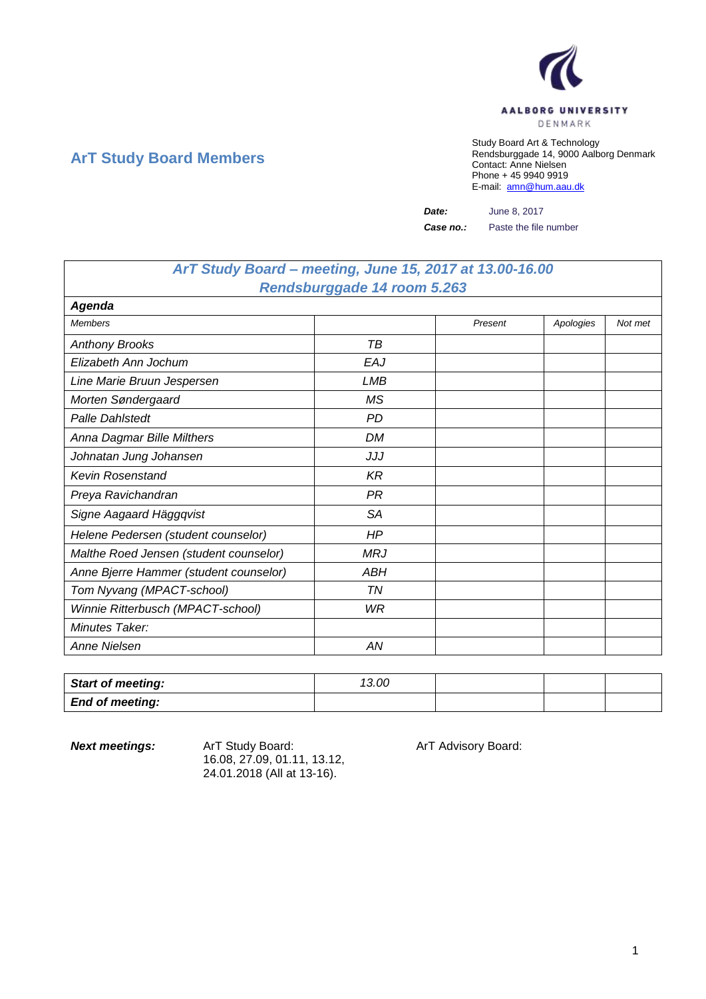

## **ArT Study Board Members**

Study Board Art & Technology Rendsburggade 14, 9000 Aalborg Denmark Contact: Anne Nielsen Phone + 45 9940 9919 E-mail: [amn@hum.aau.dk](mailto:amn@hum.aau.dk)

*Date:* June 8, 2017

*Case no.:* Paste the file number

## *ArT Study Board – meeting, June 15, 2017 at 13.00-16.00 Rendsburggade 14 room 5.263*

| <b>Agenda</b>                          |           |         |           |         |
|----------------------------------------|-----------|---------|-----------|---------|
| <b>Members</b>                         |           | Present | Apologies | Not met |
| <b>Anthony Brooks</b>                  | TВ        |         |           |         |
| Elizabeth Ann Jochum                   | EAJ       |         |           |         |
| Line Marie Bruun Jespersen             | LMB       |         |           |         |
| Morten Søndergaard                     | <b>MS</b> |         |           |         |
| <b>Palle Dahlstedt</b>                 | <b>PD</b> |         |           |         |
| Anna Dagmar Bille Milthers             | <b>DM</b> |         |           |         |
| Johnatan Jung Johansen                 | JJJ       |         |           |         |
| <b>Kevin Rosenstand</b>                | KR        |         |           |         |
| Preya Ravichandran                     | <b>PR</b> |         |           |         |
| Signe Aagaard Häggqvist                | <b>SA</b> |         |           |         |
| Helene Pedersen (student counselor)    | HP.       |         |           |         |
| Malthe Roed Jensen (student counselor) | MRJ       |         |           |         |
| Anne Bjerre Hammer (student counselor) | ABH       |         |           |         |
| Tom Nyvang (MPACT-school)              | ΤN        |         |           |         |
| Winnie Ritterbusch (MPACT-school)      | WR        |         |           |         |
| Minutes Taker:                         |           |         |           |         |
| Anne Nielsen                           | ΑN        |         |           |         |

| <b>Start of meeting:</b> | 13.00 |  |  |
|--------------------------|-------|--|--|
| <b>End of meeting:</b>   |       |  |  |

**Next meetings:** Art Study Board: Art Advisory Board: 16.08, 27.09, 01.11, 13.12, 24.01.2018 (All at 13-16).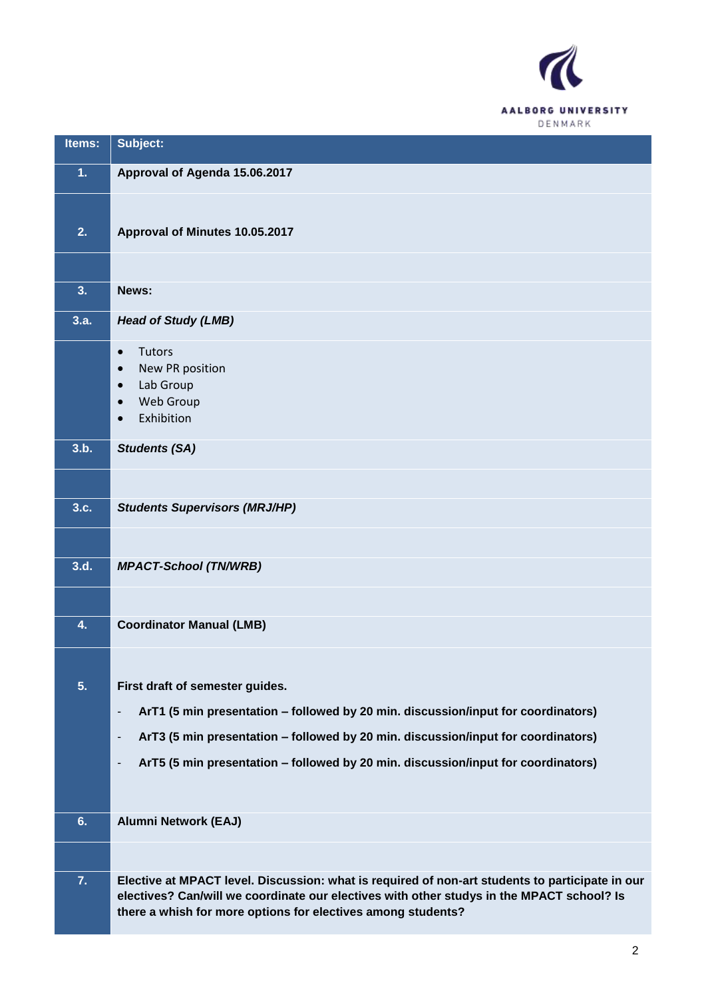

| Items: | Subject:                                                                                                                                                                                                                                                     |
|--------|--------------------------------------------------------------------------------------------------------------------------------------------------------------------------------------------------------------------------------------------------------------|
| 1.     | Approval of Agenda 15.06.2017                                                                                                                                                                                                                                |
|        |                                                                                                                                                                                                                                                              |
| 2.     | Approval of Minutes 10.05.2017                                                                                                                                                                                                                               |
|        |                                                                                                                                                                                                                                                              |
| 3.     | News:                                                                                                                                                                                                                                                        |
| 3.a.   | <b>Head of Study (LMB)</b>                                                                                                                                                                                                                                   |
|        | <b>Tutors</b><br>$\bullet$<br>New PR position<br>Lab Group<br><b>Web Group</b><br>Exhibition<br>$\bullet$                                                                                                                                                    |
| 3.b.   | <b>Students (SA)</b>                                                                                                                                                                                                                                         |
|        |                                                                                                                                                                                                                                                              |
| 3.c.   | <b>Students Supervisors (MRJ/HP)</b>                                                                                                                                                                                                                         |
|        |                                                                                                                                                                                                                                                              |
| 3.d.   | <b>MPACT-School (TN/WRB)</b>                                                                                                                                                                                                                                 |
|        |                                                                                                                                                                                                                                                              |
| 4.     | <b>Coordinator Manual (LMB)</b>                                                                                                                                                                                                                              |
|        |                                                                                                                                                                                                                                                              |
| 5.     | First draft of semester guides.                                                                                                                                                                                                                              |
|        | ArT1 (5 min presentation - followed by 20 min. discussion/input for coordinators)<br>÷,                                                                                                                                                                      |
|        | ArT3 (5 min presentation - followed by 20 min. discussion/input for coordinators)<br>$\overline{\phantom{a}}$                                                                                                                                                |
|        | ArT5 (5 min presentation - followed by 20 min. discussion/input for coordinators)<br>$\overline{\phantom{a}}$                                                                                                                                                |
|        |                                                                                                                                                                                                                                                              |
| 6.     | <b>Alumni Network (EAJ)</b>                                                                                                                                                                                                                                  |
|        |                                                                                                                                                                                                                                                              |
| 7.     | Elective at MPACT level. Discussion: what is required of non-art students to participate in our<br>electives? Can/will we coordinate our electives with other studys in the MPACT school? Is<br>there a whish for more options for electives among students? |